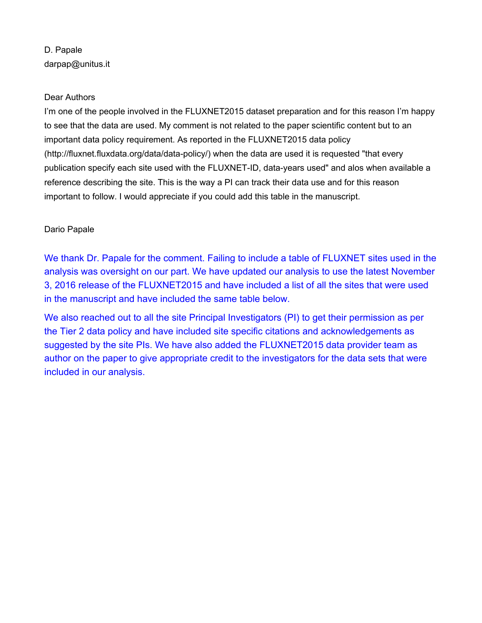## D. Papale darpap@unitus.it

## Dear Authors

I'm one of the people involved in the FLUXNET2015 dataset preparation and for this reason I'm happy to see that the data are used. My comment is not related to the paper scientific content but to an important data policy requirement. As reported in the FLUXNET2015 data policy (http://fluxnet.fluxdata.org/data/data-policy/) when the data are used it is requested "that every publication specify each site used with the FLUXNET-ID, data-years used" and alos when available a reference describing the site. This is the way a PI can track their data use and for this reason important to follow. I would appreciate if you could add this table in the manuscript.

## Dario Papale

We thank Dr. Papale for the comment. Failing to include a table of FLUXNET sites used in the analysis was oversight on our part. We have updated our analysis to use the latest November 3, 2016 release of the FLUXNET2015 and have included a list of all the sites that were used in the manuscript and have included the same table below.

We also reached out to all the site Principal Investigators (PI) to get their permission as per the Tier 2 data policy and have included site specific citations and acknowledgements as suggested by the site PIs. We have also added the FLUXNET2015 data provider team as author on the paper to give appropriate credit to the investigators for the data sets that were included in our analysis.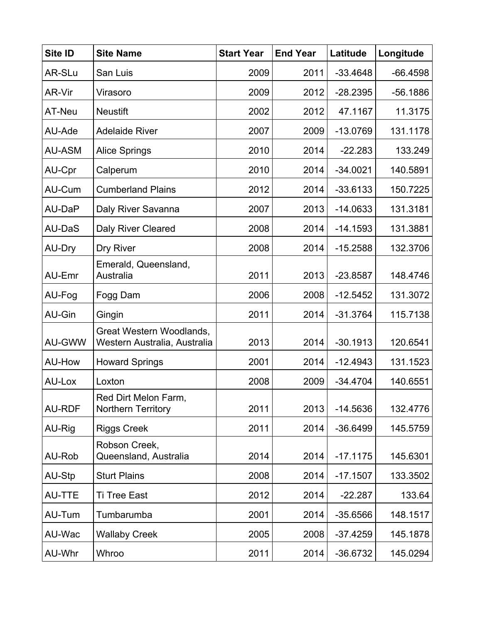| Site ID       | <b>Site Name</b>                                         | <b>Start Year</b> | <b>End Year</b> | Latitude   | Longitude  |
|---------------|----------------------------------------------------------|-------------------|-----------------|------------|------------|
| AR-SLu        | San Luis                                                 | 2009              | 2011            | $-33.4648$ | $-66.4598$ |
| AR-Vir        | Virasoro                                                 | 2009              | 2012            | $-28.2395$ | $-56.1886$ |
| AT-Neu        | <b>Neustift</b>                                          | 2002              | 2012            | 47.1167    | 11.3175    |
| AU-Ade        | <b>Adelaide River</b>                                    | 2007              | 2009            | $-13.0769$ | 131.1178   |
| <b>AU-ASM</b> | <b>Alice Springs</b>                                     | 2010              | 2014            | $-22.283$  | 133.249    |
| AU-Cpr        | Calperum                                                 | 2010              | 2014            | $-34.0021$ | 140.5891   |
| AU-Cum        | <b>Cumberland Plains</b>                                 | 2012              | 2014            | $-33.6133$ | 150.7225   |
| AU-DaP        | Daly River Savanna                                       | 2007              | 2013            | $-14.0633$ | 131.3181   |
| AU-DaS        | <b>Daly River Cleared</b>                                | 2008              | 2014            | $-14.1593$ | 131.3881   |
| AU-Dry        | Dry River                                                | 2008              | 2014            | $-15.2588$ | 132.3706   |
| AU-Emr        | Emerald, Queensland,<br>Australia                        | 2011              | 2013            | $-23.8587$ | 148.4746   |
| AU-Fog        | Fogg Dam                                                 | 2006              | 2008            | $-12.5452$ | 131.3072   |
| AU-Gin        | Gingin                                                   | 2011              | 2014            | $-31.3764$ | 115.7138   |
| <b>AU-GWW</b> | Great Western Woodlands,<br>Western Australia, Australia | 2013              | 2014            | $-30.1913$ | 120.6541   |
| AU-How        | <b>Howard Springs</b>                                    | 2001              | 2014            | $-12.4943$ | 131.1523   |
| AU-Lox        | Loxton                                                   | 2008              | 2009            | $-34.4704$ | 140.6551   |
| <b>AU-RDF</b> | Red Dirt Melon Farm,<br>Northern Territory               | 2011              | 2013            | $-14.5636$ | 132.4776   |
| AU-Rig        | <b>Riggs Creek</b>                                       | 2011              | 2014            | $-36.6499$ | 145.5759   |
| AU-Rob        | Robson Creek,<br>Queensland, Australia                   | 2014              | 2014            | $-17.1175$ | 145.6301   |
| AU-Stp        | <b>Sturt Plains</b>                                      | 2008              | 2014            | $-17.1507$ | 133.3502   |
| AU-TTE        | <b>Ti Tree East</b>                                      | 2012              | 2014            | $-22.287$  | 133.64     |
| AU-Tum        | Tumbarumba                                               | 2001              | 2014            | $-35.6566$ | 148.1517   |
| AU-Wac        | <b>Wallaby Creek</b>                                     | 2005              | 2008            | $-37.4259$ | 145.1878   |
| AU-Whr        | Whroo                                                    | 2011              | 2014            | $-36.6732$ | 145.0294   |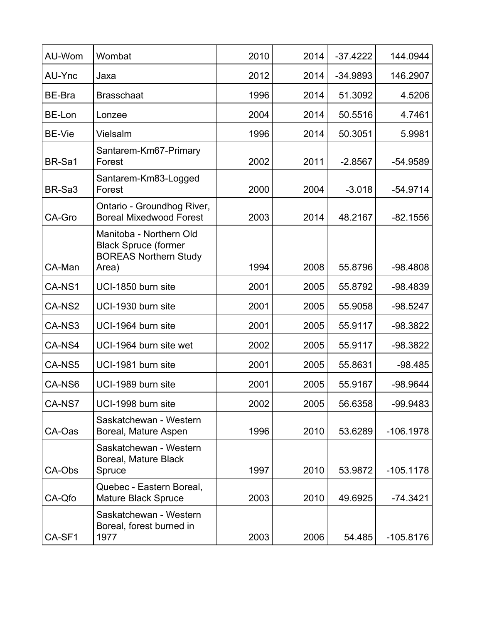| AU-Wom             | Wombat                                                                                          | 2010 | 2014 | $-37.4222$ | 144.0944    |
|--------------------|-------------------------------------------------------------------------------------------------|------|------|------------|-------------|
| AU-Ync             | Jaxa                                                                                            | 2012 | 2014 | $-34.9893$ | 146.2907    |
| BE-Bra             | <b>Brasschaat</b>                                                                               | 1996 | 2014 | 51.3092    | 4.5206      |
| BE-Lon             | Lonzee                                                                                          | 2004 | 2014 | 50.5516    | 4.7461      |
| BE-Vie             | Vielsalm                                                                                        | 1996 | 2014 | 50.3051    | 5.9981      |
| BR-Sa1             | Santarem-Km67-Primary<br>Forest                                                                 | 2002 | 2011 | $-2.8567$  | $-54.9589$  |
| BR-Sa <sub>3</sub> | Santarem-Km83-Logged<br>Forest                                                                  | 2000 | 2004 | $-3.018$   | $-54.9714$  |
| CA-Gro             | Ontario - Groundhog River,<br><b>Boreal Mixedwood Forest</b>                                    | 2003 | 2014 | 48.2167    | $-82.1556$  |
| CA-Man             | Manitoba - Northern Old<br><b>Black Spruce (former</b><br><b>BOREAS Northern Study</b><br>Area) | 1994 | 2008 | 55.8796    | $-98.4808$  |
| CA-NS1             | UCI-1850 burn site                                                                              | 2001 | 2005 | 55.8792    | $-98.4839$  |
| CA-NS2             | UCI-1930 burn site                                                                              | 2001 | 2005 | 55.9058    | $-98.5247$  |
| CA-NS3             | UCI-1964 burn site                                                                              | 2001 | 2005 | 55.9117    | $-98.3822$  |
| CA-NS4             | UCI-1964 burn site wet                                                                          | 2002 | 2005 | 55.9117    | $-98.3822$  |
| CA-NS5             | UCI-1981 burn site                                                                              | 2001 | 2005 | 55.8631    | $-98.485$   |
| CA-NS6             | UCI-1989 burn site                                                                              | 2001 | 2005 | 55.9167    | $-98.9644$  |
| CA-NS7             | UCI-1998 burn site                                                                              | 2002 | 2005 | 56.6358    | -99.9483    |
| CA-Oas             | Saskatchewan - Western<br>Boreal, Mature Aspen                                                  | 1996 | 2010 | 53.6289    | $-106.1978$ |
| CA-Obs             | Saskatchewan - Western<br>Boreal, Mature Black<br>Spruce                                        | 1997 | 2010 | 53.9872    | $-105.1178$ |
| CA-Qfo             | Quebec - Eastern Boreal,<br><b>Mature Black Spruce</b>                                          | 2003 | 2010 | 49.6925    | $-74.3421$  |
| CA-SF1             | Saskatchewan - Western<br>Boreal, forest burned in<br>1977                                      | 2003 | 2006 | 54.485     | $-105.8176$ |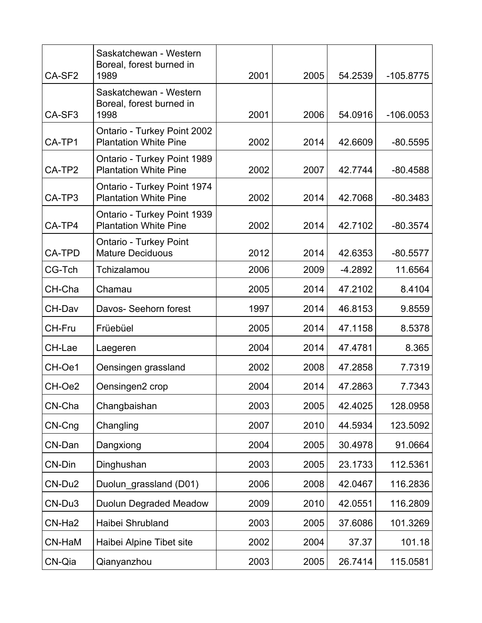| CA-SF <sub>2</sub> | Saskatchewan - Western<br>Boreal, forest burned in<br>1989  | 2001 | 2005 | 54.2539   | $-105.8775$ |
|--------------------|-------------------------------------------------------------|------|------|-----------|-------------|
| CA-SF <sub>3</sub> | Saskatchewan - Western<br>Boreal, forest burned in<br>1998  | 2001 | 2006 | 54.0916   | $-106.0053$ |
| CA-TP1             | Ontario - Turkey Point 2002<br><b>Plantation White Pine</b> | 2002 | 2014 | 42.6609   | $-80.5595$  |
| CA-TP2             | Ontario - Turkey Point 1989<br><b>Plantation White Pine</b> | 2002 | 2007 | 42.7744   | $-80.4588$  |
| CA-TP3             | Ontario - Turkey Point 1974<br><b>Plantation White Pine</b> | 2002 | 2014 | 42.7068   | $-80.3483$  |
| CA-TP4             | Ontario - Turkey Point 1939<br><b>Plantation White Pine</b> | 2002 | 2014 | 42.7102   | $-80.3574$  |
| <b>CA-TPD</b>      | <b>Ontario - Turkey Point</b><br><b>Mature Deciduous</b>    | 2012 | 2014 | 42.6353   | $-80.5577$  |
| CG-Tch             | Tchizalamou                                                 | 2006 | 2009 | $-4.2892$ | 11.6564     |
| CH-Cha             | Chamau                                                      | 2005 | 2014 | 47.2102   | 8.4104      |
| CH-Dav             | Davos- Seehorn forest                                       | 1997 | 2014 | 46.8153   | 9.8559      |
| CH-Fru             | Früebüel                                                    | 2005 | 2014 | 47.1158   | 8.5378      |
| CH-Lae             | Laegeren                                                    | 2004 | 2014 | 47.4781   | 8.365       |
| CH-Oe1             | Oensingen grassland                                         | 2002 | 2008 | 47.2858   | 7.7319      |
| CH-Oe2             | Oensingen2 crop                                             | 2004 | 2014 | 47.2863   | 7.7343      |
| CN-Cha             | Changbaishan                                                | 2003 | 2005 | 42.4025   | 128.0958    |
| CN-Cng             | Changling                                                   | 2007 | 2010 | 44.5934   | 123.5092    |
| CN-Dan             | Dangxiong                                                   | 2004 | 2005 | 30.4978   | 91.0664     |
| CN-Din             | Dinghushan                                                  | 2003 | 2005 | 23.1733   | 112.5361    |
| CN-Du2             | Duolun grassland (D01)                                      | 2006 | 2008 | 42.0467   | 116.2836    |
| CN-Du3             | <b>Duolun Degraded Meadow</b>                               | 2009 | 2010 | 42.0551   | 116.2809    |
| CN-Ha2             | Haibei Shrubland                                            | 2003 | 2005 | 37.6086   | 101.3269    |
| CN-HaM             | Haibei Alpine Tibet site                                    | 2002 | 2004 | 37.37     | 101.18      |
| CN-Qia             | Qianyanzhou                                                 | 2003 | 2005 | 26.7414   | 115.0581    |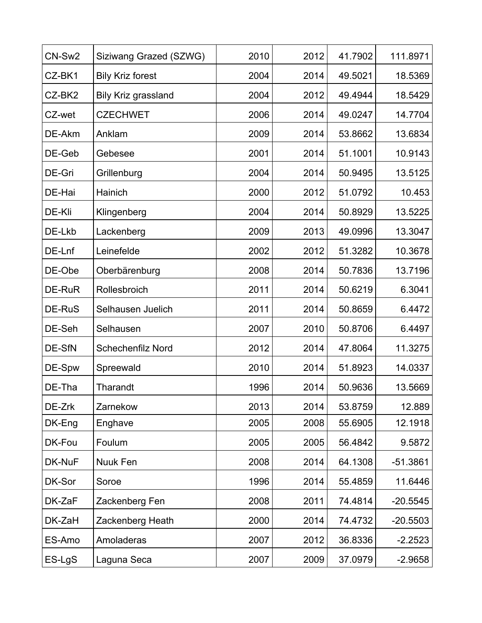| CN-Sw2 | Siziwang Grazed (SZWG)     | 2010 | 2012 | 41.7902 | 111.8971   |
|--------|----------------------------|------|------|---------|------------|
| CZ-BK1 | <b>Bily Kriz forest</b>    | 2004 | 2014 | 49.5021 | 18.5369    |
| CZ-BK2 | <b>Bily Kriz grassland</b> | 2004 | 2012 | 49.4944 | 18.5429    |
| CZ-wet | <b>CZECHWET</b>            | 2006 | 2014 | 49.0247 | 14.7704    |
| DE-Akm | Anklam                     | 2009 | 2014 | 53.8662 | 13.6834    |
| DE-Geb | Gebesee                    | 2001 | 2014 | 51.1001 | 10.9143    |
| DE-Gri | Grillenburg                | 2004 | 2014 | 50.9495 | 13.5125    |
| DE-Hai | Hainich                    | 2000 | 2012 | 51.0792 | 10.453     |
| DE-Kli | Klingenberg                | 2004 | 2014 | 50.8929 | 13.5225    |
| DE-Lkb | Lackenberg                 | 2009 | 2013 | 49.0996 | 13.3047    |
| DE-Lnf | Leinefelde                 | 2002 | 2012 | 51.3282 | 10.3678    |
| DE-Obe | Oberbärenburg              | 2008 | 2014 | 50.7836 | 13.7196    |
| DE-RuR | Rollesbroich               | 2011 | 2014 | 50.6219 | 6.3041     |
| DE-RuS | Selhausen Juelich          | 2011 | 2014 | 50.8659 | 6.4472     |
| DE-Seh | Selhausen                  | 2007 | 2010 | 50.8706 | 6.4497     |
| DE-SfN | <b>Schechenfilz Nord</b>   | 2012 | 2014 | 47.8064 | 11.3275    |
| DE-Spw | Spreewald                  | 2010 | 2014 | 51.8923 | 14.0337    |
| DE-Tha | Tharandt                   | 1996 | 2014 | 50.9636 | 13.5669    |
| DE-Zrk | Zarnekow                   | 2013 | 2014 | 53.8759 | 12.889     |
| DK-Eng | Enghave                    | 2005 | 2008 | 55.6905 | 12.1918    |
| DK-Fou | Foulum                     | 2005 | 2005 | 56.4842 | 9.5872     |
| DK-NuF | Nuuk Fen                   | 2008 | 2014 | 64.1308 | $-51.3861$ |
| DK-Sor | Soroe                      | 1996 | 2014 | 55.4859 | 11.6446    |
| DK-ZaF | Zackenberg Fen             | 2008 | 2011 | 74.4814 | $-20.5545$ |
| DK-ZaH | Zackenberg Heath           | 2000 | 2014 | 74.4732 | $-20.5503$ |
| ES-Amo | Amoladeras                 | 2007 | 2012 | 36.8336 | $-2.2523$  |
| ES-LgS | Laguna Seca                | 2007 | 2009 | 37.0979 | $-2.9658$  |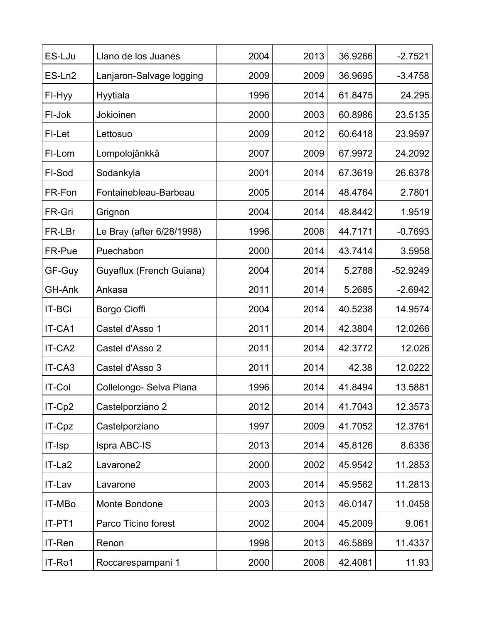| ES-LJu             | Llano de los Juanes       | 2004 | 2013 | 36.9266 | $-2.7521$  |
|--------------------|---------------------------|------|------|---------|------------|
| ES-Ln <sub>2</sub> | Lanjaron-Salvage logging  | 2009 | 2009 | 36.9695 | $-3.4758$  |
| FI-Hyy             | Hyytiala                  | 1996 | 2014 | 61.8475 | 24.295     |
| FI-Jok             | Jokioinen                 | 2000 | 2003 | 60.8986 | 23.5135    |
| FI-Let             | Lettosuo                  | 2009 | 2012 | 60.6418 | 23.9597    |
| FI-Lom             | Lompolojänkkä             | 2007 | 2009 | 67.9972 | 24.2092    |
| FI-Sod             | Sodankyla                 | 2001 | 2014 | 67.3619 | 26.6378    |
| FR-Fon             | Fontainebleau-Barbeau     | 2005 | 2014 | 48.4764 | 2.7801     |
| FR-Gri             | Grignon                   | 2004 | 2014 | 48.8442 | 1.9519     |
| FR-LBr             | Le Bray (after 6/28/1998) | 1996 | 2008 | 44.7171 | $-0.7693$  |
| FR-Pue             | Puechabon                 | 2000 | 2014 | 43.7414 | 3.5958     |
| GF-Guy             | Guyaflux (French Guiana)  | 2004 | 2014 | 5.2788  | $-52.9249$ |
| GH-Ank             | Ankasa                    | 2011 | 2014 | 5.2685  | $-2.6942$  |
| <b>IT-BCi</b>      | Borgo Cioffi              | 2004 | 2014 | 40.5238 | 14.9574    |
| IT-CA1             | Castel d'Asso 1           | 2011 | 2014 | 42.3804 | 12.0266    |
| IT-CA <sub>2</sub> | Castel d'Asso 2           | 2011 | 2014 | 42.3772 | 12.026     |
| IT-CA3             | Castel d'Asso 3           | 2011 | 2014 | 42.38   | 12.0222    |
| <b>IT-Col</b>      | Collelongo- Selva Piana   | 1996 | 2014 | 41.8494 | 13.5881    |
| IT-Cp2             | Castelporziano 2          | 2012 | 2014 | 41.7043 | 12.3573    |
| IT-Cpz             | Castelporziano            | 1997 | 2009 | 41.7052 | 12.3761    |
| IT-Isp             | Ispra ABC-IS              | 2013 | 2014 | 45.8126 | 8.6336     |
| IT-La2             | Lavarone <sub>2</sub>     | 2000 | 2002 | 45.9542 | 11.2853    |
| IT-Lav             | Lavarone                  | 2003 | 2014 | 45.9562 | 11.2813    |
| IT-MBo             | Monte Bondone             | 2003 | 2013 | 46.0147 | 11.0458    |
| IT-PT1             | Parco Ticino forest       | 2002 | 2004 | 45.2009 | 9.061      |
| IT-Ren             | Renon                     | 1998 | 2013 | 46.5869 | 11.4337    |
| IT-Ro1             | Roccarespampani 1         | 2000 | 2008 | 42.4081 | 11.93      |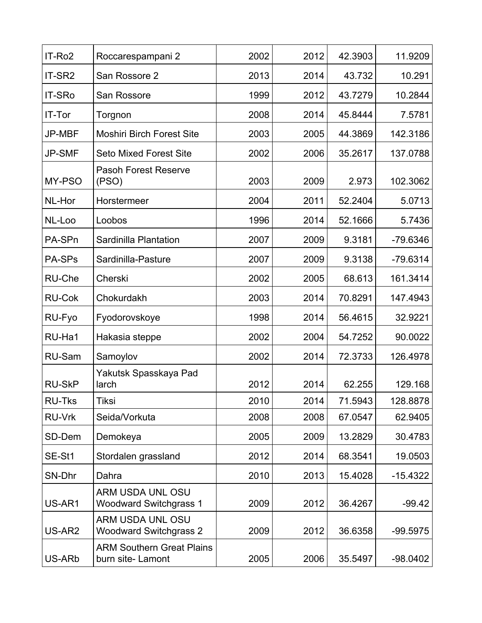| IT-Ro <sub>2</sub> | Roccarespampani 2                                        | 2002 | 2012 | 42.3903 | 11.9209    |
|--------------------|----------------------------------------------------------|------|------|---------|------------|
| IT-SR2             | San Rossore 2                                            | 2013 | 2014 | 43.732  | 10.291     |
| <b>IT-SRo</b>      | San Rossore                                              | 1999 | 2012 | 43.7279 | 10.2844    |
| IT-Tor             | Torgnon                                                  | 2008 | 2014 | 45.8444 | 7.5781     |
| <b>JP-MBF</b>      | <b>Moshiri Birch Forest Site</b>                         | 2003 | 2005 | 44.3869 | 142.3186   |
| <b>JP-SMF</b>      | <b>Seto Mixed Forest Site</b>                            | 2002 | 2006 | 35.2617 | 137.0788   |
| MY-PSO             | <b>Pasoh Forest Reserve</b><br>(PSO)                     | 2003 | 2009 | 2.973   | 102.3062   |
| NL-Hor             | Horstermeer                                              | 2004 | 2011 | 52.2404 | 5.0713     |
| NL-Loo             | Loobos                                                   | 1996 | 2014 | 52.1666 | 5.7436     |
| PA-SPn             | Sardinilla Plantation                                    | 2007 | 2009 | 9.3181  | $-79.6346$ |
| PA-SPs             | Sardinilla-Pasture                                       | 2007 | 2009 | 9.3138  | $-79.6314$ |
| RU-Che             | Cherski                                                  | 2002 | 2005 | 68.613  | 161.3414   |
| <b>RU-Cok</b>      | Chokurdakh                                               | 2003 | 2014 | 70.8291 | 147.4943   |
| RU-Fyo             | Fyodorovskoye                                            | 1998 | 2014 | 56.4615 | 32.9221    |
| RU-Ha1             | Hakasia steppe                                           | 2002 | 2004 | 54.7252 | 90.0022    |
| <b>RU-Sam</b>      | Samoylov                                                 | 2002 | 2014 | 72.3733 | 126.4978   |
| <b>RU-SkP</b>      | Yakutsk Spasskaya Pad<br>larch                           | 2012 | 2014 | 62.255  | 129.168    |
| <b>RU-Tks</b>      | Tiksi                                                    | 2010 | 2014 | 71.5943 | 128.8878   |
| <b>RU-Vrk</b>      | Seida/Vorkuta                                            | 2008 | 2008 | 67.0547 | 62.9405    |
| SD-Dem             | Demokeya                                                 | 2005 | 2009 | 13.2829 | 30.4783    |
| SE-St1             | Stordalen grassland                                      | 2012 | 2014 | 68.3541 | 19.0503    |
| SN-Dhr             | Dahra                                                    | 2010 | 2013 | 15.4028 | $-15.4322$ |
| US-AR1             | ARM USDA UNL OSU<br><b>Woodward Switchgrass 1</b>        | 2009 | 2012 | 36.4267 | $-99.42$   |
| US-AR2             | <b>ARM USDA UNL OSU</b><br><b>Woodward Switchgrass 2</b> | 2009 | 2012 | 36.6358 | $-99.5975$ |
| US-ARb             | <b>ARM Southern Great Plains</b><br>burn site- Lamont    | 2005 | 2006 | 35.5497 | $-98.0402$ |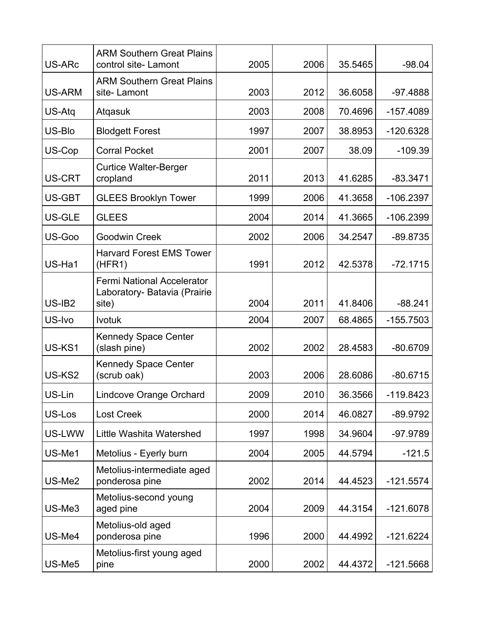| US-ARc        | <b>ARM Southern Great Plains</b><br>control site-Lamont                    | 2005 | 2006 | 35.5465 | $-98.04$    |
|---------------|----------------------------------------------------------------------------|------|------|---------|-------------|
| <b>US-ARM</b> | <b>ARM Southern Great Plains</b><br>site-Lamont                            | 2003 | 2012 | 36.6058 | $-97.4888$  |
| US-Atq        | Atgasuk                                                                    | 2003 | 2008 | 70.4696 | $-157.4089$ |
| US-Blo        | <b>Blodgett Forest</b>                                                     | 1997 | 2007 | 38.8953 | $-120.6328$ |
| US-Cop        | <b>Corral Pocket</b>                                                       | 2001 | 2007 | 38.09   | $-109.39$   |
| US-CRT        | <b>Curtice Walter-Berger</b><br>cropland                                   | 2011 | 2013 | 41.6285 | $-83.3471$  |
| US-GBT        | <b>GLEES Brooklyn Tower</b>                                                | 1999 | 2006 | 41.3658 | $-106.2397$ |
| US-GLE        | <b>GLEES</b>                                                               | 2004 | 2014 | 41.3665 | $-106.2399$ |
| US-Goo        | Goodwin Creek                                                              | 2002 | 2006 | 34.2547 | $-89.8735$  |
| US-Ha1        | <b>Harvard Forest EMS Tower</b><br>(HFR1)                                  | 1991 | 2012 | 42.5378 | $-72.1715$  |
| US-IB2        | <b>Fermi National Accelerator</b><br>Laboratory- Batavia (Prairie<br>site) | 2004 | 2011 | 41.8406 | $-88.241$   |
| US-Ivo        | <b>Ivotuk</b>                                                              | 2004 | 2007 | 68.4865 | $-155.7503$ |
| US-KS1        | <b>Kennedy Space Center</b><br>(slash pine)                                | 2002 | 2002 | 28.4583 | $-80.6709$  |
| US-KS2        | <b>Kennedy Space Center</b><br>(scrub oak)                                 | 2003 | 2006 | 28.6086 | $-80.6715$  |
| US-Lin        | <b>Lindcove Orange Orchard</b>                                             | 2009 | 2010 | 36.3566 | $-119.8423$ |
| US-Los        | <b>Lost Creek</b>                                                          | 2000 | 2014 | 46.0827 | $-89.9792$  |
| US-LWW        | Little Washita Watershed                                                   | 1997 | 1998 | 34.9604 | -97.9789    |
| US-Me1        | Metolius - Eyerly burn                                                     | 2004 | 2005 | 44.5794 | $-121.5$    |
| US-Me2        | Metolius-intermediate aged<br>ponderosa pine                               | 2002 | 2014 | 44.4523 | $-121.5574$ |
| US-Me3        | Metolius-second young<br>aged pine                                         | 2004 | 2009 | 44.3154 | $-121.6078$ |
| US-Me4        | Metolius-old aged<br>ponderosa pine                                        | 1996 | 2000 | 44.4992 | $-121.6224$ |
| US-Me5        | Metolius-first young aged<br>pine                                          | 2000 | 2002 | 44.4372 | $-121.5668$ |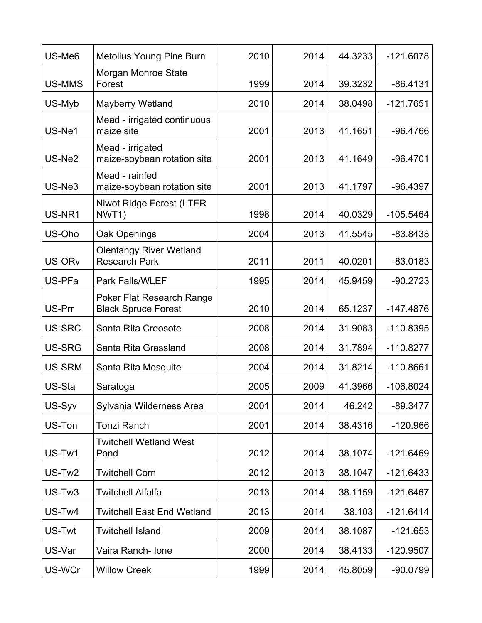| US-Me <sub>6</sub> | Metolius Young Pine Burn                                | 2010 | 2014 | 44.3233 | $-121.6078$ |
|--------------------|---------------------------------------------------------|------|------|---------|-------------|
| US-MMS             | Morgan Monroe State<br>Forest                           | 1999 | 2014 | 39.3232 | $-86.4131$  |
| US-Myb             | <b>Mayberry Wetland</b>                                 | 2010 | 2014 | 38.0498 | $-121.7651$ |
| US-Ne1             | Mead - irrigated continuous<br>maize site               | 2001 | 2013 | 41.1651 | $-96.4766$  |
| US-Ne2             | Mead - irrigated<br>maize-soybean rotation site         | 2001 | 2013 | 41.1649 | $-96.4701$  |
| US-Ne3             | Mead - rainfed<br>maize-soybean rotation site           | 2001 | 2013 | 41.1797 | $-96.4397$  |
| US-NR1             | <b>Niwot Ridge Forest (LTER</b><br>NWT1)                | 1998 | 2014 | 40.0329 | $-105.5464$ |
| US-Oho             | Oak Openings                                            | 2004 | 2013 | 41.5545 | $-83.8438$  |
| US-OR <sub>v</sub> | <b>Olentangy River Wetland</b><br><b>Research Park</b>  | 2011 | 2011 | 40.0201 | $-83.0183$  |
| US-PFa             | <b>Park Falls/WLEF</b>                                  | 1995 | 2014 | 45.9459 | $-90.2723$  |
| US-Prr             | Poker Flat Research Range<br><b>Black Spruce Forest</b> | 2010 | 2014 | 65.1237 | $-147.4876$ |
| US-SRC             | Santa Rita Creosote                                     | 2008 | 2014 | 31.9083 | $-110.8395$ |
| <b>US-SRG</b>      | Santa Rita Grassland                                    | 2008 | 2014 | 31.7894 | $-110.8277$ |
| <b>US-SRM</b>      | Santa Rita Mesquite                                     | 2004 | 2014 | 31.8214 | $-110.8661$ |
| US-Sta             | Saratoga                                                | 2005 | 2009 | 41.3966 | $-106.8024$ |
| US-Syv             | Sylvania Wilderness Area                                | 2001 | 2014 | 46.242  | $-89.3477$  |
| US-Ton             | <b>Tonzi Ranch</b>                                      | 2001 | 2014 | 38.4316 | $-120.966$  |
| US-Tw1             | <b>Twitchell Wetland West</b><br>Pond                   | 2012 | 2014 | 38.1074 | $-121.6469$ |
| US-Tw <sub>2</sub> | <b>Twitchell Corn</b>                                   | 2012 | 2013 | 38.1047 | $-121.6433$ |
| US-Tw3             | <b>Twitchell Alfalfa</b>                                | 2013 | 2014 | 38.1159 | $-121.6467$ |
| US-Tw4             | <b>Twitchell East End Wetland</b>                       | 2013 | 2014 | 38.103  | $-121.6414$ |
| US-Twt             | <b>Twitchell Island</b>                                 | 2009 | 2014 | 38.1087 | $-121.653$  |
| US-Var             | Vaira Ranch- Ione                                       | 2000 | 2014 | 38.4133 | -120.9507   |
| US-WCr             | <b>Willow Creek</b>                                     | 1999 | 2014 | 45.8059 | $-90.0799$  |